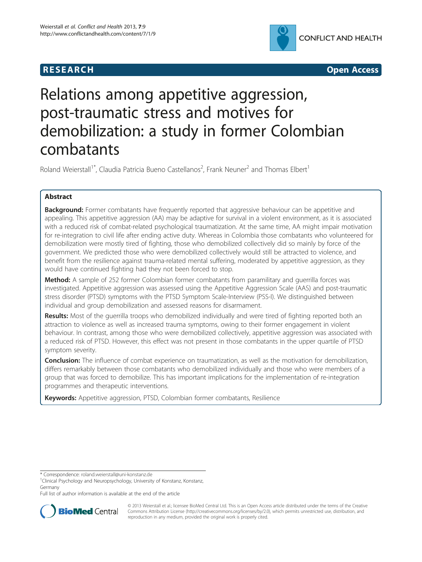



# Relations among appetitive aggression, post-traumatic stress and motives for demobilization: a study in former Colombian combatants

Roland Weierstall<sup>1\*</sup>, Claudia Patricia Bueno Castellanos<sup>2</sup>, Frank Neuner<sup>2</sup> and Thomas Elbert<sup>1</sup>

# Abstract

**Background:** Former combatants have frequently reported that aggressive behaviour can be appetitive and appealing. This appetitive aggression (AA) may be adaptive for survival in a violent environment, as it is associated with a reduced risk of combat-related psychological traumatization. At the same time, AA might impair motivation for re-integration to civil life after ending active duty. Whereas in Colombia those combatants who volunteered for demobilization were mostly tired of fighting, those who demobilized collectively did so mainly by force of the government. We predicted those who were demobilized collectively would still be attracted to violence, and benefit from the resilience against trauma-related mental suffering, moderated by appetitive aggression, as they would have continued fighting had they not been forced to stop.

Method: A sample of 252 former Colombian former combatants from paramilitary and querrilla forces was investigated. Appetitive aggression was assessed using the Appetitive Aggression Scale (AAS) and post-traumatic stress disorder (PTSD) symptoms with the PTSD Symptom Scale-Interview (PSS-I). We distinguished between individual and group demobilization and assessed reasons for disarmament.

**Results:** Most of the querrilla troops who demobilized individually and were tired of fighting reported both an attraction to violence as well as increased trauma symptoms, owing to their former engagement in violent behaviour. In contrast, among those who were demobilized collectively, appetitive aggression was associated with a reduced risk of PTSD. However, this effect was not present in those combatants in the upper quartile of PTSD symptom severity.

**Conclusion:** The influence of combat experience on traumatization, as well as the motivation for demobilization, differs remarkably between those combatants who demobilized individually and those who were members of a group that was forced to demobilize. This has important implications for the implementation of re-integration programmes and therapeutic interventions.

Keywords: Appetitive aggression, PTSD, Colombian former combatants, Resilience

Full list of author information is available at the end of the article



© 2013 Weierstall et al.; licensee BioMed Central Ltd. This is an Open Access article distributed under the terms of the Creative Commons Attribution License [\(http://creativecommons.org/licenses/by/2.0\)](http://creativecommons.org/licenses/by/2.0), which permits unrestricted use, distribution, and reproduction in any medium, provided the original work is properly cited.

<sup>\*</sup> Correspondence: [roland.weierstall@uni-konstanz.de](mailto:roland.weierstall@uni-konstanz.de) <sup>1</sup>

<sup>&</sup>lt;sup>1</sup>Clinical Psychology and Neuropsychology, University of Konstanz, Konstanz, Germany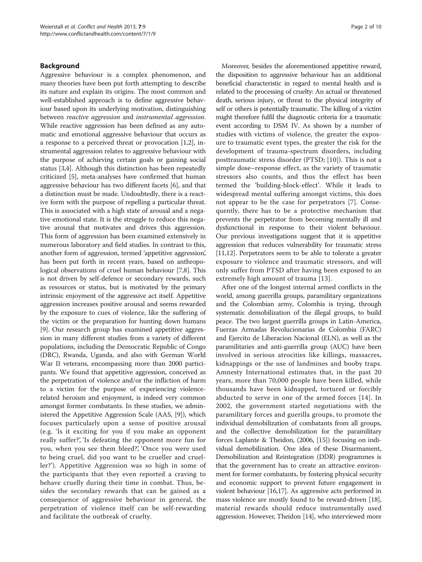# Background

Aggressive behaviour is a complex phenomenon, and many theories have been put forth attempting to describe its nature and explain its origins. The most common and well-established approach is to define aggressive behaviour based upon its underlying motivation, distinguishing between reactive aggression and instrumental aggression. While reactive aggression has been defined as any automatic and emotional aggressive behaviour that occurs as a response to a perceived threat or provocation [[1](#page-8-0),[2](#page-8-0)], instrumental aggression relates to aggressive behaviour with the purpose of achieving certain goals or gaining social status [\[3,4](#page-8-0)]. Although this distinction has been repeatedly criticized [\[5](#page-8-0)], meta-analyses have confirmed that human aggressive behaviour has two different facets [[6](#page-8-0)], and that a distinction must be made. Undoubtedly, there is a reactive form with the purpose of repelling a particular threat. This is associated with a high state of arousal and a negative emotional state. It is the struggle to reduce this negative arousal that motivates and drives this aggression. This form of aggression has been examined extensively in numerous laboratory and field studies. In contrast to this, another form of aggression, termed 'appetitive aggression', has been put forth in recent years, based on anthropological observations of cruel human behaviour [\[7,8](#page-8-0)]. This is not driven by self-defence or secondary rewards, such as resources or status, but is motivated by the primary intrinsic enjoyment of the aggressive act itself. Appetitive aggression increases positive arousal and seems rewarded by the exposure to cues of violence, like the suffering of the victim or the preparation for hunting down humans [[9\]](#page-8-0). Our research group has examined appetitive aggression in many different studies from a variety of different populations, including the Democratic Republic of Congo (DRC), Rwanda, Uganda, and also with German World War II veterans, encompassing more than 2000 participants. We found that appetitive aggression, conceived as the perpetration of violence and/or the infliction of harm to a victim for the purpose of experiencing violencerelated heroism and enjoyment, is indeed very common amongst former combatants. In these studies, we administered the Appetitive Aggression Scale (AAS, [[9\]](#page-8-0)), which focuses particularly upon a sense of positive arousal (e.g. 'Is it exciting for you if you make an opponent really suffer?', 'Is defeating the opponent more fun for you, when you see them bleed?', 'Once you were used to being cruel, did you want to be crueller and crueller?'). Appetitive Aggression was so high in some of the participants that they even reported a craving to behave cruelly during their time in combat. Thus, besides the secondary rewards that can be gained as a consequence of aggressive behaviour in general, the perpetration of violence itself can be self-rewarding and facilitate the outbreak of cruelty.

Moreover, besides the aforementioned appetitive reward, the disposition to aggressive behaviour has an additional beneficial characteristic in regard to mental health and is related to the processing of cruelty: An actual or threatened death, serious injury, or threat to the physical integrity of self or others is potentially traumatic. The killing of a victim might therefore fulfil the diagnostic criteria for a traumatic event according to DSM IV. As shown by a number of studies with victims of violence, the greater the exposure to traumatic event types, the greater the risk for the development of trauma-spectrum disorders, including posttraumatic stress disorder (PTSD; [[10\]](#page-8-0)). This is not a simple dose–response effect, as the variety of traumatic stressors also counts, and thus the effect has been termed the 'building-block-effect'. While it leads to widespread mental suffering amongst victims, this does not appear to be the case for perpetrators [[7\]](#page-8-0). Consequently, there has to be a protective mechanism that prevents the perpetrator from becoming mentally ill and dysfunctional in response to their violent behaviour. Our previous investigations suggest that it is appetitive aggression that reduces vulnerability for traumatic stress [[11](#page-8-0),[12](#page-8-0)]. Perpetrators seem to be able to tolerate a greater exposure to violence and traumatic stressors, and will only suffer from PTSD after having been exposed to an extremely high amount of trauma [[13](#page-8-0)].

After one of the longest internal armed conflicts in the world, among guerrilla groups, paramilitary organizations and the Colombian army, Colombia is trying, through systematic demobilization of the illegal groups, to build peace. The two largest guerrilla groups in Latin-America, Fuerzas Armadas Revolucionarias de Colombia (FARC) and Ejercito de Liberacion Nacional (ELN), as well as the paramilitaries and anti-guerrilla group (AUC) have been involved in serious atrocities like killings, massacres, kidnappings or the use of landmines and booby traps. Amnesty International estimates that, in the past 20 years, more than 70,000 people have been killed, while thousands have been kidnapped, tortured or forcibly abducted to serve in one of the armed forces [[14](#page-8-0)]. In 2002, the government started negotiations with the paramilitary forces and guerilla groups, to promote the individual demobilization of combatants from all groups, and the collective demobilization for the paramilitary forces Laplante & Theidon, (2006, [\[15\]](#page-8-0)) focusing on individual demobilization. One idea of these Disarmament, Demobilization and Reintegration (DDR) programmes is that the government has to create an attractive environment for former combatants, by fostering physical security and economic support to prevent future engagement in violent behaviour [[16,17\]](#page-8-0). As aggressive acts performed in mass violence are mostly found to be reward-driven [[18](#page-8-0)], material rewards should reduce instrumentally used aggression. However, Theidon [[14](#page-8-0)], who interviewed more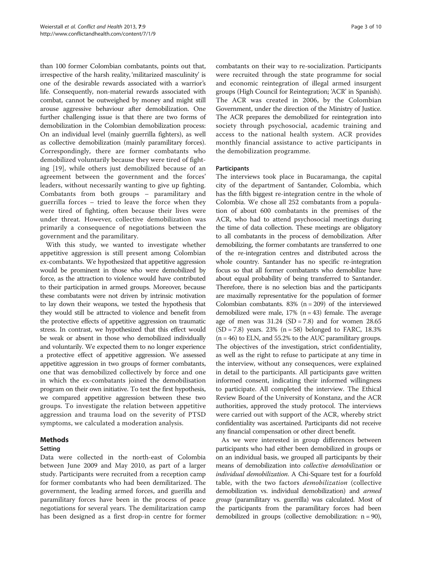than 100 former Colombian combatants, points out that, irrespective of the harsh reality, 'militarized masculinity' is one of the desirable rewards associated with a warrior's life. Consequently, non-material rewards associated with combat, cannot be outweighed by money and might still arouse aggressive behaviour after demobilization. One further challenging issue is that there are two forms of demobilization in the Colombian demobilization process: On an individual level (mainly guerrilla fighters), as well as collective demobilization (mainly paramilitary forces). Correspondingly, there are former combatants who demobilized voluntarily because they were tired of fighting [[19\]](#page-8-0), while others just demobilized because of an agreement between the government and the forces' leaders, without necessarily wanting to give up fighting. Combatants from both groups – paramilitary and guerrilla forces – tried to leave the force when they were tired of fighting, often because their lives were under threat. However, collective demobilization was primarily a consequence of negotiations between the government and the paramilitary.

With this study, we wanted to investigate whether appetitive aggression is still present among Colombian ex-combatants. We hypothesized that appetitive aggression would be prominent in those who were demobilized by force, as the attraction to violence would have contributed to their participation in armed groups. Moreover, because these combatants were not driven by intrinsic motivation to lay down their weapons, we tested the hypothesis that they would still be attracted to violence and benefit from the protective effects of appetitive aggression on traumatic stress. In contrast, we hypothesized that this effect would be weak or absent in those who demobilized individually and voluntarily. We expected them to no longer experience a protective effect of appetitive aggression. We assessed appetitive aggression in two groups of former combatants, one that was demobilized collectively by force and one in which the ex-combatants joined the demobilisation program on their own initiative. To test the first hypothesis, we compared appetitive aggression between these two groups. To investigate the relation between appetitive aggression and trauma load on the severity of PTSD symptoms, we calculated a moderation analysis.

# Methods

# Setting

Data were collected in the north-east of Colombia between June 2009 and May 2010, as part of a larger study. Participants were recruited from a reception camp for former combatants who had been demilitarized. The government, the leading armed forces, and guerilla and paramilitary forces have been in the process of peace negotiations for several years. The demilitarization camp has been designed as a first drop-in centre for former

combatants on their way to re-socialization. Participants were recruited through the state programme for social and economic reintegration of illegal armed insurgent groups (High Council for Reintegration; 'ACR' in Spanish). The ACR was created in 2006, by the Colombian Government, under the direction of the Ministry of Justice. The ACR prepares the demobilized for reintegration into society through psychosocial, academic training and access to the national health system. ACR provides monthly financial assistance to active participants in the demobilization programme.

# **Participants**

The interviews took place in Bucaramanga, the capital city of the department of Santander, Colombia, which has the fifth biggest re-integration centre in the whole of Colombia. We chose all 252 combatants from a population of about 600 combatants in the premises of the ACR, who had to attend psychosocial meetings during the time of data collection. These meetings are obligatory to all combatants in the process of demobilization. After demobilizing, the former combatants are transferred to one of the re-integration centres and distributed across the whole country. Santander has no specific re-integration focus so that all former combatants who demobilize have about equal probability of being transferred to Santander. Therefore, there is no selection bias and the participants are maximally representative for the population of former Colombian combatants. 83% ( $n = 209$ ) of the interviewed demobilized were male,  $17\%$  (n = 43) female. The average age of men was  $31.24$  (SD = 7.8) and for women 28.65  $(SD = 7.8)$  years. 23% (n = 58) belonged to FARC, 18.3%  $(n = 46)$  to ELN, and 55.2% to the AUC paramilitary groups. The objectives of the investigation, strict confidentiality, as well as the right to refuse to participate at any time in the interview, without any consequences, were explained in detail to the participants. All participants gave written informed consent, indicating their informed willingness to participate. All completed the interview. The Ethical Review Board of the University of Konstanz, and the ACR authorities, approved the study protocol. The interviews were carried out with support of the ACR, whereby strict confidentiality was ascertained. Participants did not receive any financial compensation or other direct benefit.

As we were interested in group differences between participants who had either been demobilized in groups or on an individual basis, we grouped all participants by their means of demobilization into collective demobilization or individual demobilization. A Chi-Square test for a fourfold table, with the two factors demobilization (collective demobilization vs. individual demobilization) and armed group (paramilitary vs. guerrilla) was calculated. Most of the participants from the paramilitary forces had been demobilized in groups (collective demobilization:  $n = 90$ ),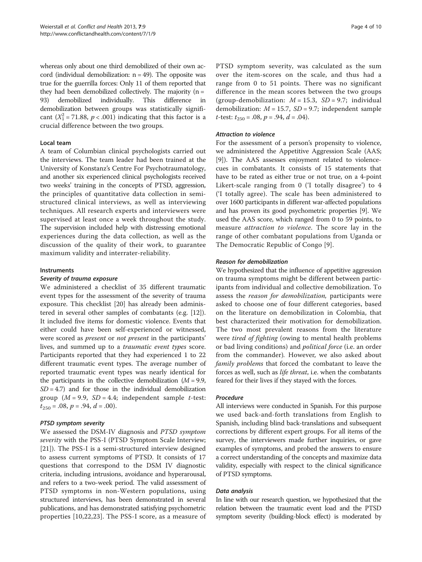whereas only about one third demobilized of their own accord (individual demobilization:  $n = 49$ ). The opposite was true for the guerrilla forces: Only 11 of them reported that they had been demobilized collectively. The majority  $(n =$ 93) demobilized individually. This difference in demobilization between groups was statistically significant  $(X_1^2 = 71.88, p < .001)$  indicating that this factor is a crucial difference between the two groups.

# Local team

A team of Columbian clinical psychologists carried out the interviews. The team leader had been trained at the University of Konstanz's Centre For Psychotraumatology, and another six experienced clinical psychologists received two weeks' training in the concepts of PTSD, aggression, the principles of quantitative data collection in semistructured clinical interviews, as well as interviewing techniques. All research experts and interviewers were supervised at least once a week throughout the study. The supervision included help with distressing emotional experiences during the data collection, as well as the discussion of the quality of their work, to guarantee maximum validity and interrater-reliability.

# Instruments

#### Severity of trauma exposure

We administered a checklist of 35 different traumatic event types for the assessment of the severity of trauma exposure. This checklist [\[20\]](#page-8-0) has already been administered in several other samples of combatants (e.g. [\[12](#page-8-0)]). It included five items for domestic violence. Events that either could have been self-experienced or witnessed, were scored as present or not present in the participants' lives, and summed up to a traumatic event types score. Participants reported that they had experienced 1 to 22 different traumatic event types. The average number of reported traumatic event types was nearly identical for the participants in the collective demobilization  $(M = 9.9,$  $SD = 4.7$ ) and for those in the individual demobilization group  $(M = 9.9, SD = 4.4;$  independent sample *t*-test:  $t_{250} = .08$ ,  $p = .94$ ,  $d = .00$ ).

## PTSD symptom severity

We assessed the DSM-IV diagnosis and PTSD symptom severity with the PSS-I (PTSD Symptom Scale Interview; [[21\]](#page-8-0)). The PSS-I is a semi-structured interview designed to assess current symptoms of PTSD. It consists of 17 questions that correspond to the DSM IV diagnostic criteria, including intrusions, avoidance and hyperarousal, and refers to a two-week period. The valid assessment of PTSD symptoms in non-Western populations, using structured interviews, has been demonstrated in several publications, and has demonstrated satisfying psychometric properties [[10](#page-8-0),[22,23](#page-8-0)]. The PSS-I score, as a measure of

PTSD symptom severity, was calculated as the sum over the item-scores on the scale, and thus had a range from 0 to 51 points. There was no significant difference in the mean scores between the two groups (group-demobilization:  $M = 15.3$ ,  $SD = 9.7$ ; individual demobilization:  $M = 15.7$ ,  $SD = 9.7$ ; independent sample t-test:  $t_{250} = .08$ ,  $p = .94$ ,  $d = .04$ ).

#### Attraction to violence

For the assessment of a person's propensity to violence, we administered the Appetitive Aggression Scale (AAS; [[9\]](#page-8-0)). The AAS assesses enjoyment related to violencecues in combatants. It consists of 15 statements that have to be rated as either true or not true, on a 4-point Likert-scale ranging from 0 ('I totally disagree') to 4 ('I totally agree). The scale has been administered to over 1600 participants in different war-affected populations and has proven its good psychometric properties [[9\]](#page-8-0). We used the AAS score, which ranged from 0 to 59 points, to measure attraction to violence. The score lay in the range of other combatant populations from Uganda or The Democratic Republic of Congo [[9\]](#page-8-0).

## Reason for demobilization

We hypothesized that the influence of appetitive aggression on trauma symptoms might be different between participants from individual and collective demobilization. To assess the reason for demobilization, participants were asked to choose one of four different categories, based on the literature on demobilization in Colombia, that best characterized their motivation for demobilization. The two most prevalent reasons from the literature were *tired of fighting* (owing to mental health problems or bad living conditions) and political force (i.e. an order from the commander). However, we also asked about family problems that forced the combatant to leave the forces as well, such as life threat, i.e. when the combatants feared for their lives if they stayed with the forces.

# Procedure

All interviews were conducted in Spanish. For this purpose we used back-and-forth translations from English to Spanish, including blind back-translations and subsequent corrections by different expert groups. For all items of the survey, the interviewers made further inquiries, or gave examples of symptoms, and probed the answers to ensure a correct understanding of the concepts and maximize data validity, especially with respect to the clinical significance of PTSD symptoms.

## Data analysis

In line with our research question, we hypothesized that the relation between the traumatic event load and the PTSD symptom severity (building-block effect) is moderated by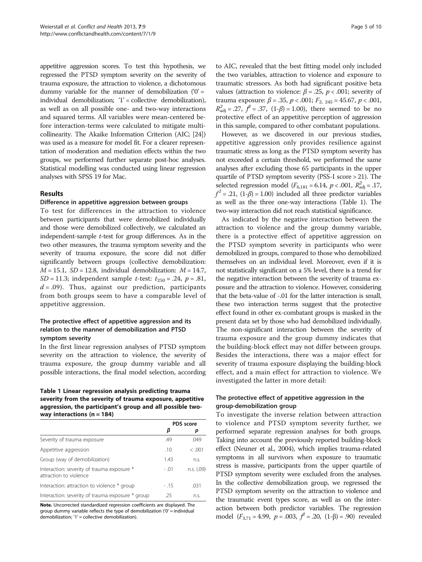appetitive aggression scores. To test this hypothesis, we regressed the PTSD symptom severity on the severity of trauma exposure, the attraction to violence, a dichotomous dummy variable for the manner of demobilization  $(0)$  = individual demobilization; '1' = collective demobilization), as well as on all possible one- and two-way interactions and squared terms. All variables were mean-centered before interaction-terms were calculated to mitigate multicollinearity. The Akaike Information Criterion (AIC; [\[24](#page-8-0)]) was used as a measure for model fit. For a clearer representation of moderation and mediation effects within the two groups, we performed further separate post-hoc analyses. Statistical modelling was conducted using linear regression analyses with SPSS 19 for Mac.

# Results

# Difference in appetitive aggression between groups

To test for differences in the attraction to violence between participants that were demobilized individually and those were demobilized collectively, we calculated an independent-sample t-test for group differences. As in the two other measures, the trauma symptom severity and the severity of trauma exposure, the score did not differ significantly between groups (collective demobilization:  $M = 15.1$ ,  $SD = 12.8$ , individual demobilization:  $M = 14.7$ ,  $SD = 11.3$ ; independent sample *t*-test:  $t_{250} = .24$ ,  $p = .81$ ,  $d = .09$ ). Thus, against our prediction, participants from both groups seem to have a comparable level of appetitive aggression.

# The protective effect of appetitive aggression and its relation to the manner of demobilization and PTSD symptom severity

In the first linear regression analyses of PTSD symptom severity on the attraction to violence, the severity of trauma exposure, the group dummy variable and all possible interactions, the final model selection, according

# Table 1 Linear regression analysis predicting trauma severity from the severity of trauma exposure, appetitive aggression, the participant's group and all possible twoway interactions (n = 184)

|                                                                      | PDS score |            |
|----------------------------------------------------------------------|-----------|------------|
|                                                                      | β         | р          |
| Severity of trauma exposure                                          | .49       | .049       |
| Appetitive aggression                                                | .10       | < .001     |
| Group (way of demobilization)                                        | 1.43      | n.s.       |
| Interaction: severity of trauma exposure *<br>attraction to violence | - .01     | n.s. (.09) |
| Interaction: attraction to violence * group                          | $-.15$    | .031       |
| Interaction: severity of trauma exposure * group                     | -25       | n.s.       |

Note. Uncorrected standardized regression coefficients are displayed. The group dummy variable reflects the type of demobilization ('0' = individual demobilization; '1' = collective demobilization).

to AIC, revealed that the best fitting model only included the two variables, attraction to violence and exposure to traumatic stressors. As both had significant positive beta values (attraction to violence:  $\beta$  = .25, p < .001; severity of trauma exposure:  $\beta$  = .35,  $p < .001$ ;  $F_{2, 245}$  = 45.67,  $p < .001$ ,  $R_{\text{adj}}^2 = .27, f^2 = .37, (1-\beta) = 1.00$ , there seemed to be no protective effect of an appetitive perception of aggression in this sample, compared to other combatant populations.

However, as we discovered in our previous studies, appetitive aggression only provides resilience against traumatic stress as long as the PTSD symptom severity has not exceeded a certain threshold, we performed the same analyses after excluding those 65 participants in the upper quartile of PTSD symptom severity (PSS-I score > 21). The selected regression model ( $F_{6,181} = 6.14$ ,  $p < .001$ ,  $R_{\text{adj}}^2 = .17$ ,  $f^2 = .21$ ,  $(1-\beta) = 1.00$ ) included all three predictor variables as well as the three one-way interactions (Table 1). The two-way interaction did not reach statistical significance.

As indicated by the negative interaction between the attraction to violence and the group dummy variable, there is a protective effect of appetitive aggression on the PTSD symptom severity in participants who were demobilized in groups, compared to those who demobilized themselves on an individual level. Moreover, even if it is not statistically significant on a 5% level, there is a trend for the negative interaction between the severity of trauma exposure and the attraction to violence. However, considering that the beta-value of -.01 for the latter interaction is small, these two interaction terms suggest that the protective effect found in other ex-combatant groups is masked in the present data set by those who had demobilized individually. The non-significant interaction between the severity of trauma exposure and the group dummy indicates that the building-block effect may not differ between groups. Besides the interactions, there was a major effect for severity of trauma exposure displaying the building-block effect, and a main effect for attraction to violence. We investigated the latter in more detail:

# The protective effect of appetitive aggression in the group-demobilization group

To investigate the inverse relation between attraction to violence and PTSD symptom severity further, we performed separate regression analyses for both groups. Taking into account the previously reported building-block effect (Neuner et al., 2004), which implies trauma-related symptoms in all survivors when exposure to traumatic stress is massive, participants from the upper quartile of PTSD symptom severity were excluded from the analyses. In the collective demobilization group, we regressed the PTSD symptom severity on the attraction to violence and the traumatic event types score, as well as on the interaction between both predictor variables. The regression model  $(F_{3,71} = 4.99, p = .003, f^2 = .20, (1-\beta) = .90)$  revealed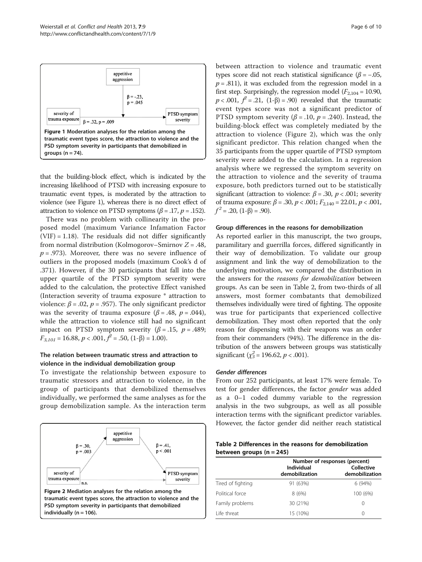

that the building-block effect, which is indicated by the increasing likelihood of PTSD with increasing exposure to traumatic event types, is moderated by the attraction to violence (see Figure 1), whereas there is no direct effect of attraction to violence on PTSD symptoms ( $\beta$  = .17,  $p$  = .152).

There was no problem with collinearity in the proposed model (maximum Variance Infamation Factor  $(VIF) = 1.18$ ). The residuals did not differ significantly from normal distribution (Kolmogorov–Smirnov  $Z = .48$ ,  $p = .973$ ). Moreover, there was no severe influence of outliers in the proposed models (maximum Cook's d of .371). However, if the 30 participants that fall into the upper quartile of the PTSD symptom severity were added to the calculation, the protective Effect vanished (Interaction severity of trauma exposure \* attraction to violence:  $\beta$  = .02,  $p$  = .957). The only significant predictor was the severity of trauma exposure ( $\beta$  = .48,  $p$  = .044), while the attraction to violence still had no significant impact on PTSD symptom severity  $(\beta = .15, p = .489;$  $F_{3,101} = 16.88, p < .001, f^2 = .50, (1-\beta) = 1.00$ .

# The relation between traumatic stress and attraction to violence in the individual demobilization group

To investigate the relationship between exposure to traumatic stressors and attraction to violence, in the group of participants that demobilized themselves individually, we performed the same analyses as for the group demobilization sample. As the interaction term



between attraction to violence and traumatic event types score did not reach statistical significance ( $\beta$  = -.05,  $p = .811$ ), it was excluded from the regression model in a first step. Surprisingly, the regression model ( $F_{2,104}$  = 10.90,  $p < .001$ ,  $f^2 = .21$ , (1-β) = .90) revealed that the traumatic event types score was not a significant predictor of PTSD symptom severity ( $\beta$  = .10,  $p$  = .240). Instead, the building-block effect was completely mediated by the attraction to violence (Figure 2), which was the only significant predictor. This relation changed when the 35 participants from the upper quartile of PTSD symptom severity were added to the calculation. In a regression analysis where we regressed the symptom severity on the attraction to violence and the severity of trauma exposure, both predictors turned out to be statistically significant (attraction to violence:  $\beta$  = .30, p < .001; severity of trauma exposure:  $β = .30, p < .001; F_{2,140} = 22.01, p < .001,$  $f^2 = .20, (1-\beta) = .90.$ 

## Group differences in the reasons for demobilization

As reported earlier in this manuscript, the two groups, paramilitary and guerrilla forces, differed significantly in their way of demobilization. To validate our group assignment and link the way of demobilization to the underlying motivation, we compared the distribution in the answers for the reasons for demobilization between groups. As can be seen in Table 2, from two-thirds of all answers, most former combatants that demobilized themselves individually were tired of fighting. The opposite was true for participants that experienced collective demobilization. They most often reported that the only reason for dispensing with their weapons was an order from their commanders (94%). The difference in the distribution of the answers between groups was statistically significant ( $\chi^2$  = 196.62, *p* < .001).

## Gender differences

From our 252 participants, at least 17% were female. To test for gender differences, the factor gender was added as a 0–1 coded dummy variable to the regression analysis in the two subgroups, as well as all possible interaction terms with the significant predictor variables. However, the factor gender did neither reach statistical

| Table 2 Differences in the reasons for demobilization |  |  |
|-------------------------------------------------------|--|--|
| between groups $(n = 245)$                            |  |  |

|                   | Number of responses (percent) |                              |  |
|-------------------|-------------------------------|------------------------------|--|
|                   | Individual<br>demobilization  | Collective<br>demobilization |  |
| Tired of fighting | 91 (63%)                      | 6(94%)                       |  |
| Political force   | 8(6%)                         | 100 (6%)                     |  |
| Family problems   | 30 (21%)                      | 0                            |  |
| Life threat       | 15 (10%)                      | 0                            |  |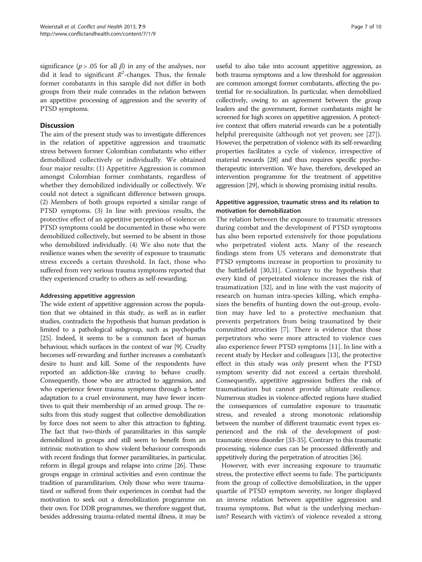significance ( $p > .05$  for all  $\beta$ ) in any of the analyses, nor did it lead to significant  $R^2$ -changes. Thus, the female former combatants in this sample did not differ in both groups from their male comrades in the relation between an appetitive processing of aggression and the severity of PTSD symptoms.

# **Discussion**

The aim of the present study was to investigate differences in the relation of appetitive aggression and traumatic stress between former Colombian combatants who either demobilized collectively or individually. We obtained four major results: (1) Appetitive Aggression is common amongst Colombian former combatants, regardless of whether they demobilized individually or collectively. We could not detect a significant difference between groups. (2) Members of both groups reported a similar range of PTSD symptoms. (3) In line with previous results, the protective effect of an appetitive perception of violence on PTSD symptoms could be documented in those who were demobilized collectively, but seemed to be absent in those who demobilized individually. (4) We also note that the resilience wanes when the severity of exposure to traumatic stress exceeds a certain threshold. In fact, those who suffered from very serious trauma symptoms reported that they experienced cruelty to others as self-rewarding.

## Addressing appetitive aggression

The wide extent of appetitive aggression across the population that we obtained in this study, as well as in earlier studies, contradicts the hypothesis that human predation is limited to a pathological subgroup, such as psychopaths [[25](#page-8-0)]. Indeed, it seems to be a common facet of human behaviour, which surfaces in the context of war [\[9\]](#page-8-0). Cruelty becomes self-rewarding and further increases a combatant's desire to hunt and kill. Some of the respondents have reported an addiction-like craving to behave cruelly. Consequently, those who are attracted to aggression, and who experience fewer trauma symptoms through a better adaptation to a cruel environment, may have fewer incentives to quit their membership of an armed group. The results from this study suggest that collective demobilization by force does not seem to alter this attraction to fighting. The fact that two-thirds of paramilitaries in this sample demobilized in groups and still seem to benefit from an intrinsic motivation to show violent behaviour corresponds with recent findings that former paramilitaries, in particular, reform in illegal groups and relapse into crime [\[26\]](#page-8-0). These groups engage in criminal activities and even continue the tradition of paramilitarism. Only those who were traumatized or suffered from their experiences in combat had the motivation to seek out a demobilization programme on their own. For DDR programmes, we therefore suggest that, besides addressing trauma-related mental illness, it may be

useful to also take into account appetitive aggression, as both trauma symptoms and a low threshold for aggression are common amongst former combatants, affecting the potential for re-socialization. In particular, when demobilized collectively, owing to an agreement between the group leaders and the government, former combatants might be screened for high scores on appetitive aggression. A protective context that offers material rewards can be a potentially helpful prerequisite (although not yet proven; see [\[27\]](#page-8-0)). However, the perpetration of violence with its self-rewarding properties facilitates a cycle of violence, irrespective of material rewards [\[28\]](#page-8-0) and thus requires specific psychotherapeutic intervention. We have, therefore, developed an intervention programme for the treatment of appetitive aggression [\[29](#page-8-0)], which is showing promising initial results.

# Appetitive aggression, traumatic stress and its relation to motivation for demobilization

The relation between the exposure to traumatic stressors during combat and the development of PTSD symptoms has also been reported extensively for those populations who perpetrated violent acts. Many of the research findings stem from US veterans and demonstrate that PTSD symptoms increase in proportion to proximity to the battlefield [[30,31\]](#page-9-0). Contrary to the hypothesis that every kind of perpetrated violence increases the risk of traumatization [\[32\]](#page-9-0), and in line with the vast majority of research on human intra-species killing, which emphasizes the benefits of hunting down the out-group, evolution may have led to a protective mechanism that prevents perpetrators from being traumatized by their committed atrocities [[7](#page-8-0)]. There is evidence that those perpetrators who were more attracted to violence cues also experience fewer PTSD symptoms [[11](#page-8-0)]. In line with a recent study by Hecker and colleagues [\[13](#page-8-0)], the protective effect in this study was only present when the PTSD symptom severity did not exceed a certain threshold. Consequently, appetitive aggression buffers the risk of traumatisation but cannot provide ultimate resilience. Numerous studies in violence-affected regions have studied the consequences of cumulative exposure to traumatic stress, and revealed a strong monotonic relationship between the number of different traumatic event types experienced and the risk of the development of posttraumatic stress disorder [\[33-35\]](#page-9-0). Contrary to this traumatic processing, violence cues can be processed differently and appetitively during the perpetration of atrocities [\[36](#page-9-0)].

However, with ever increasing exposure to traumatic stress, the protective effect seems to fade. The participants from the group of collective demobilization, in the upper quartile of PTSD symptom severity, no longer displayed an inverse relation between appetitive aggression and trauma symptoms. But what is the underlying mechanism? Research with victim's of violence revealed a strong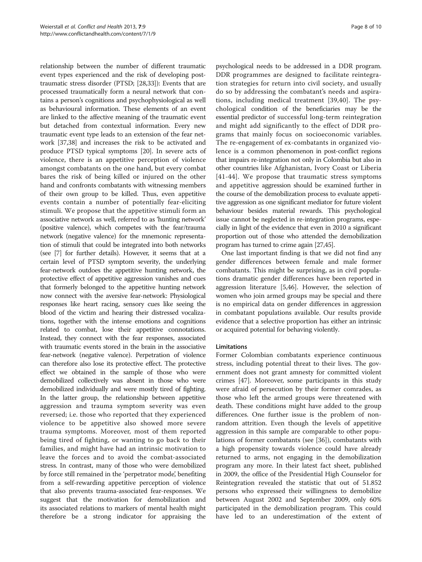relationship between the number of different traumatic event types experienced and the risk of developing posttraumatic stress disorder (PTSD; [\[28](#page-8-0)[,33\]](#page-9-0)): Events that are processed traumatically form a neural network that contains a person's cognitions and psychophysiological as well as behavioural information. These elements of an event are linked to the affective meaning of the traumatic event but detached from contextual information. Every new traumatic event type leads to an extension of the fear network [\[37,38\]](#page-9-0) and increases the risk to be activated and produce PTSD typical symptoms [\[20](#page-8-0)]. In severe acts of violence, there is an appetitive perception of violence amongst combatants on the one hand, but every combat bares the risk of being killed or injured on the other hand and confronts combatants with witnessing members of their own group to be killed. Thus, even appetitive events contain a number of potentially fear-eliciting stimuli. We propose that the appetitive stimuli form an associative network as well, referred to as 'hunting network' (positive valence), which competes with the fear/trauma network (negative valence) for the mnemonic representation of stimuli that could be integrated into both networks (see [\[7](#page-8-0)] for further details). However, it seems that at a certain level of PTSD symptom severity, the underlying fear-network outdoes the appetitive hunting network, the protective effect of appetitive aggression vanishes and cues that formerly belonged to the appetitive hunting network now connect with the aversive fear-network: Physiological responses like heart racing, sensory cues like seeing the blood of the victim and hearing their distressed vocalizations, together with the intense emotions and cognitions related to combat, lose their appetitive connotations. Instead, they connect with the fear responses, associated with traumatic events stored in the brain in the associative fear-network (negative valence). Perpetration of violence can therefore also lose its protective effect. The protective effect we obtained in the sample of those who were demobilized collectively was absent in those who were demobilized individually and were mostly tired of fighting. In the latter group, the relationship between appetitive aggression and trauma symptom severity was even reversed; i.e. those who reported that they experienced violence to be appetitive also showed more severe trauma symptoms. Moreover, most of them reported being tired of fighting, or wanting to go back to their families, and might have had an intrinsic motivation to leave the forces and to avoid the combat-associated stress. In contrast, many of those who were demobilized by force still remained in the 'perpetrator mode', benefiting from a self-rewarding appetitive perception of violence that also prevents trauma-associated fear-responses. We suggest that the motivation for demobilization and its associated relations to markers of mental health might therefore be a strong indicator for appraising the

psychological needs to be addressed in a DDR program. DDR programmes are designed to facilitate reintegration strategies for return into civil society, and usually do so by addressing the combatant's needs and aspirations, including medical treatment [[39,40\]](#page-9-0). The psychological condition of the beneficiaries may be the essential predictor of successful long-term reintegration and might add significantly to the effect of DDR programs that mainly focus on socioeconomic variables. The re-engagement of ex-combatants in organized violence is a common phenomenon in post-conflict regions that impairs re-integration not only in Colombia but also in other countries like Afghanistan, Ivory Coast or Liberia [[41](#page-9-0)-[44](#page-9-0)]. We propose that traumatic stress symptoms and appetitive aggression should be examined further in the course of the demobilization process to evaluate appetitive aggression as one significant mediator for future violent behaviour besides material rewards. This psychological issue cannot be neglected in re-integration programs, especially in light of the evidence that even in 2010 a significant proportion out of those who attended the demobilization program has turned to crime again [\[27](#page-8-0)[,45\]](#page-9-0).

One last important finding is that we did not find any gender differences between female and male former combatants. This might be surprising, as in civil populations dramatic gender differences have been reported in aggression literature [\[5](#page-8-0)[,46\]](#page-9-0). However, the selection of women who join armed groups may be special and there is no empirical data on gender differences in aggression in combatant populations available. Our results provide evidence that a selective proportion has either an intrinsic or acquired potential for behaving violently.

# Limitations

Former Colombian combatants experience continuous stress, including potential threat to their lives. The government does not grant amnesty for committed violent crimes [[47](#page-9-0)]. Moreover, some participants in this study were afraid of persecution by their former comrades, as those who left the armed groups were threatened with death. These conditions might have added to the group differences. One further issue is the problem of nonrandom attrition. Even though the levels of appetitive aggression in this sample are comparable to other populations of former combatants (see [\[36\]](#page-9-0)), combatants with a high propensity towards violence could have already returned to arms, not engaging in the demobilization program any more. In their latest fact sheet, published in 2009, the office of the Presidential High Counselor for Reintegration revealed the statistic that out of 51.852 persons who expressed their willingness to demobilize between August 2002 and September 2009, only 60% participated in the demobilization program. This could have led to an underestimation of the extent of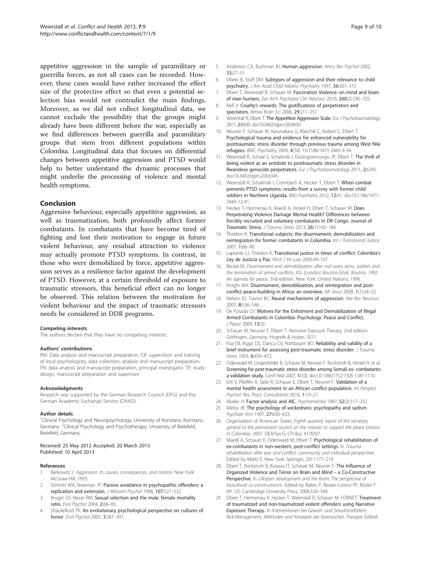<span id="page-8-0"></span>appetitive aggression in the sample of paramilitary or guerrilla forces, as not all cases can be recorded. However, these cases would have rather increased the effect size of the protective effect so that even a potential selection bias would not contradict the main findings. Moreover, as we did not collect longitudinal data, we cannot exclude the possibility that the groups might already have been different before the war, especially as we find differences between guerrilla and paramilitary groups that stem from different populations within Colombia. Longitudinal data that focuses on differential changes between appetitive aggression and PTSD would help to better understand the dynamic processes that might underlie the processing of violence and mental health symptoms.

# Conclusion

Aggressive behaviour, especially appetitive aggression, as well as traumatization, both profoundly affect former combatants. In combatants that have become tired of fighting and lost their motivation to engage in future violent behaviour, any residual attraction to violence may actually promote PTSD symptoms. In contrast, in those who were demobilized by force, appetitive aggression serves as a resilience factor against the development of PTSD. However, at a certain threshold of exposure to traumatic stressors, this beneficial effect can no longer be observed. This relation between the motivation for violent behaviour and the impact of traumatic stressors needs be considered in DDR programs.

#### Competing interests

The authors declare that they have no competing interests.

#### Authors' contributions

RW: Data analysis and manuscript preparation. CB: supervision and training of local psychologists, data collection, analysis and manuscript preparation. FN: data analysis and manuscript preparation, principal investigator. TE: study design, manuscript preparation and supervisor.

#### Acknowledgments

Research was supported by the German Research Council (DFG) and the German Academic Exchange Service (DAAD).

#### Author details

<sup>1</sup>Clinical Psychology and Neuropsychology, University of Konstanz, Konstanz, Germany. <sup>2</sup>Clinical Psychology and Psychotherapy, University of Bielefeld, Bielefeld, Germany.

#### Received: 25 May 2012 Accepted: 20 March 2013 Published: 10 April 2013

#### References

- 1. Berkowitz L: Aggression: Its causes, consequences, and control. New York: McGraw-Hill; 1993.
- Schmitt WA, Newman JP: Passive avoidance in psychopathic offenders: a replication and extension. J Abnorm Psychol 1998, 107:527–532.
- Kruger DJ, Nesse RM: Sexual selection and the male: female mortality ratio. Evol Psychol 2004, 2:66–85.
- 4. Shackelford TK: An evolutionary psychological perspective on cultures of honor. Evol Psychol 2005, 3:381–391.
- 5. Anderson CA, Bushman BJ: Human aggression. Annu Rev Psychol 2002, 53:27–51.
- 6. Vitielo B, Stoff DM: Subtypes of aggression and their relevance to child psychiatry. J Am Acad Child Adolesc Psychiatry 1997, 36:307–315.
- 7. Elbert T, Weierstall R, Schauer M: Fascination Violence: on mind and brain of man hunters. Eur Arch Psychiatry Clin Neurosci 2010, 260(2):100–105.
- 8. Nell V: Cruelty's rewards: The gratifications of perpetrators and spectators. Behav Brain Sci 2006, 29:211-257.
- 9. Weierstall R, Elbert T: The Appetitive Aggression Scale. Eur J Psychotraumatology 2011, 2:8430. doi:[10.3402/ejpt.v2i0.8430.](http://dx.doi.org/10.3402/ejpt.v2i0.8430)
- 10. Neuner F, Schauer M, Karunakara U, Klaschik C, Robert C, Elbert T: Psychological trauma and evidence for enhanced vulnerability for posttraumatic stress disorder through previous trauma among West Nile refugees. BMC Psychiatry 2004, 4(34). 10.1186/1471-244X-4-34.
- 11. Weierstall R, Schaal S, Schalinski I, Dusingizemungu JP, Elbert T: The thrill of being violent as an antidote to posttraumatic stress disorder in Rwandese genocide perpetrators. Eur J Psychotraumatology 2011, 2:6345. doi[:10.3402/ejpt.v2i0.6345.](http://dx.doi.org/10.3402/ejpt.v2i0.6345)
- 12. Weierstall R, Schalinski I, Crombach A, Hecker T, Elbert T: When combat prevents PTSD symptoms: results from a survey with former child soldiers in Northern Uganda. BMJ Psychiatry 2012, 12:41. doi[:10.1186/1471-](http://dx.doi.org/10.1186/1471-244X-12-41) [244X-12-41.](http://dx.doi.org/10.1186/1471-244X-12-41)
- 13. Hecker T, Hermenau K, Maedl A, Hinkel H, Elbert T, Schauer M: Does Perpetrating Violence Damage Mental Health? Differences between forcibly recruited and voluntary combatants in DR Congo. Journal of Traumatic Stress. J Trauma Stress 2013, 26(1):142–184.
- 14. Theidon K: Transitional subjects: the disarmament, demobilization and reintegration for former combatants in Columbia. Int J Transitional Justice 2007, 1:66–90.
- 15. Laplante LJ, Theidon K: Transitional justice in times of conflict: Colombia's Ley de Justicia y Paz. Mich J Int Law 2006:49-107.
- 16. Berdal M: Disarmament and demobilization after civil wars; arms, soldiers and the termination of armed conflicts, IISS (London) Boutros-Ghali, Boutros, 1992. An agenda for peace. 2nd edition. New York: United Nations; 1996.
- 17. Knight WA: Disarmament, demobilization, and reintegration and postconflict peace-building in Africa: an overview. Afr Secur 2008, 1(1):24–52.
- 18. Nelson RJ, Trainor BC: Neural mechanisms of aggression. Nat Rev Neurosci 2007, 8:536–546.
- 19. De Posada CV: Motives for the Enlistment and Demobilization of Illegal Armed Combatants in Colombia. Psychology: Peace and Conflict. J Peace 2009, 15(3).
- 20. Schauer M, Neuner F, Elbert T: Narrative Exposure Therapy. 2nd edition. Göttingen, Germany: Hogrefe & Huber; 2011.
- 21. Foa EB, Riggs DS, Dancu CV, Rothbaum BO: Reliability and validity of a brief instrument for assessing post-traumatic stress disorder. J Trauma Stress 1993, 6:459-473.
- 22. Odenwald M, Lingenfelder B, Schauer M, Neuner F, Rockstroh B, Hinkel H, et al: Screening for post-traumatic stress disorder among Somali ex- combatants: a validation study. Confl Heal 2007, 1(10). doi:[10.1186/1752-1505-1181-1110](http://dx.doi.org/10.1186/1752-1505-1181-1110).
- 23. Ertl V, Pfeiffer A, Saile R, Schauer E, Elbert T, Neuner F: Validation of a mental health assessment in an African conflict population. Int Perspect Psychol: Res, Pract, Consultation 2010, 1:19–27.
- 24. Akaike H: Factor analysis and AIC. Psychometrika 1987, 52(3):317-332.
- 25. Meloy JR: The psychology of wickedness: psychopathy and sadism. Psychiatr Ann 1997, 27:630–633.
- 26. Organization of American States: Eighth quaterly report of the secretary general to the permanent council on the mission to support the peace process in Colombia. 2007. OEA/Ser.G; CP/doc 4176/07.
- 27. Maedl A, Schauer E, Odenwald M, Elbert T: Psychological rehabilitation of ex-combatants in non-western, post-conflict settings. In Trauma rehabilitation after war and conflict: community and individual perspectives. Edited by Martz E. New York: Springer; 2011:177–214.
- 28. Elbert T, Rockstroh B, Kolassa IT, Schauer M, Neuner F: The Influence of Organized Violence and Terror on Brain and Mind – a Co-Constructive Perspective. In Lifespan development and the brain: The perspective of biocultural co-constructivism. Edited by Baltes P, Reuter-Lorenz PF, Rösler F. NY, US: Cambridge University Press; 2006:326–349.
- 29. Elbert T, Hermenau K, Hecker T, Weierstall R, Schauer M: FORNET: Treatment of traumatized and non-traumatized violent offenders using Narrative Exposure Therapy. In Interventionen bei Gewalt- und Sexualstraftätern: Risk-Management, Methoden und Konzepte der forensischen Therapie. Edited